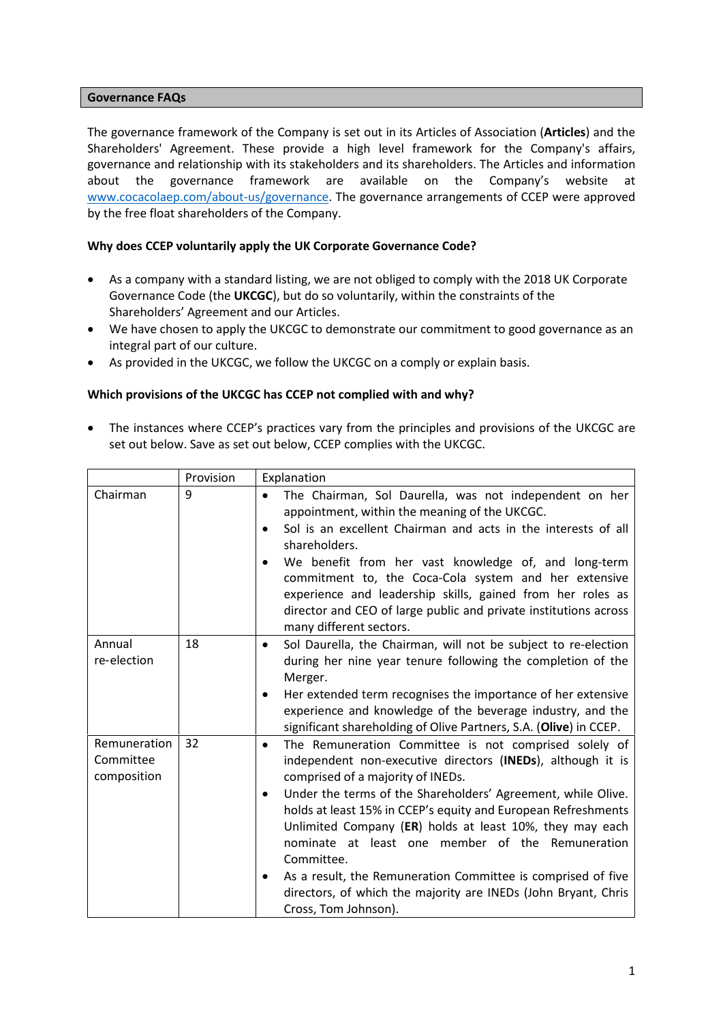#### **Governance FAQs**

The governance framework of the Company is set out in its Articles of Association (**Articles**) and the Shareholders' Agreement. These provide a high level framework for the Company's affairs, governance and relationship with its stakeholders and its shareholders. The Articles and information about the governance framework are available on the Company's website at www.cocacolaep.com/about-us/governance. The governance arrangements of CCEP were approved by the free float shareholders of the Company.

### **Why does CCEP voluntarily apply the UK Corporate Governance Code?**

- As a company with a standard listing, we are not obliged to comply with the 2018 UK Corporate Governance Code (the **UKCGC**), but do so voluntarily, within the constraints of the Shareholders' Agreement and our Articles.
- We have chosen to apply the UKCGC to demonstrate our commitment to good governance as an integral part of our culture.
- As provided in the UKCGC, we follow the UKCGC on a comply or explain basis.

#### **Which provisions of the UKCGC has CCEP not complied with and why?**

 The instances where CCEP's practices vary from the principles and provisions of the UKCGC are set out below. Save as set out below, CCEP complies with the UKCGC.

|                                          | Provision | Explanation                                                                                                                                                                                                                                                                                                                                                                                                                                                                                                                                                                                                       |
|------------------------------------------|-----------|-------------------------------------------------------------------------------------------------------------------------------------------------------------------------------------------------------------------------------------------------------------------------------------------------------------------------------------------------------------------------------------------------------------------------------------------------------------------------------------------------------------------------------------------------------------------------------------------------------------------|
| Chairman                                 | 9         | The Chairman, Sol Daurella, was not independent on her<br>$\bullet$<br>appointment, within the meaning of the UKCGC.<br>Sol is an excellent Chairman and acts in the interests of all<br>$\bullet$<br>shareholders.<br>We benefit from her vast knowledge of, and long-term<br>$\bullet$<br>commitment to, the Coca-Cola system and her extensive<br>experience and leadership skills, gained from her roles as<br>director and CEO of large public and private institutions across<br>many different sectors.                                                                                                    |
| Annual<br>re-election                    | 18        | Sol Daurella, the Chairman, will not be subject to re-election<br>$\bullet$<br>during her nine year tenure following the completion of the<br>Merger.<br>Her extended term recognises the importance of her extensive<br>$\bullet$<br>experience and knowledge of the beverage industry, and the<br>significant shareholding of Olive Partners, S.A. (Olive) in CCEP.                                                                                                                                                                                                                                             |
| Remuneration<br>Committee<br>composition | 32        | The Remuneration Committee is not comprised solely of<br>$\bullet$<br>independent non-executive directors (INEDs), although it is<br>comprised of a majority of INEDs.<br>Under the terms of the Shareholders' Agreement, while Olive.<br>$\bullet$<br>holds at least 15% in CCEP's equity and European Refreshments<br>Unlimited Company (ER) holds at least 10%, they may each<br>nominate at least one member of the Remuneration<br>Committee.<br>As a result, the Remuneration Committee is comprised of five<br>٠<br>directors, of which the majority are INEDs (John Bryant, Chris<br>Cross, Tom Johnson). |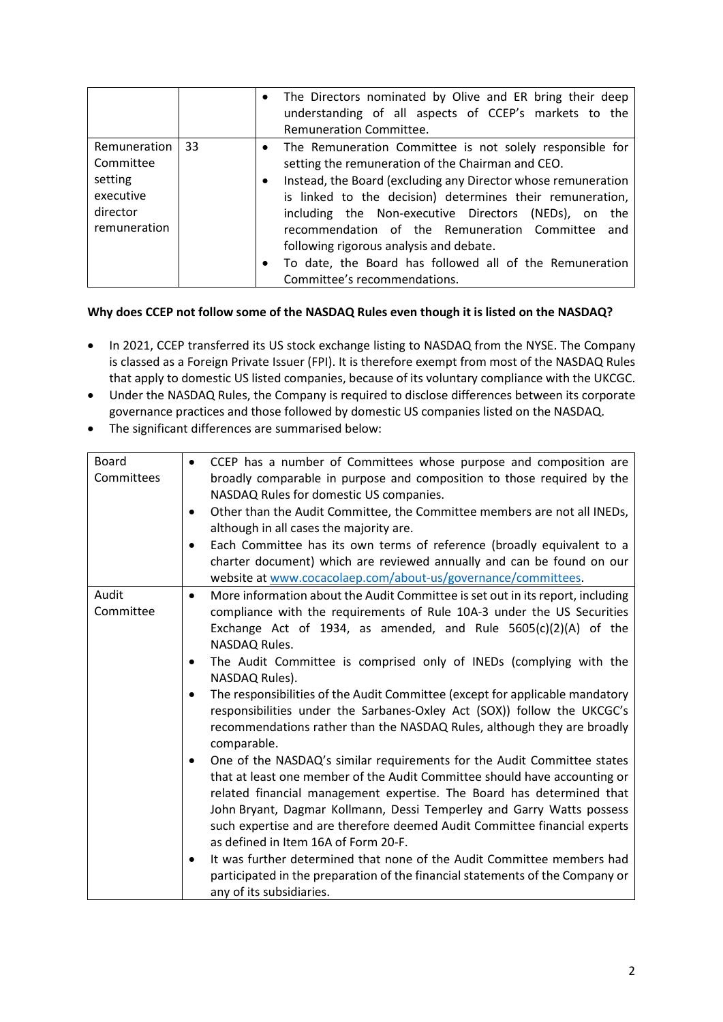|                                                                               |    | The Directors nominated by Olive and ER bring their deep<br>$\bullet$<br>understanding of all aspects of CCEP's markets to the<br>Remuneration Committee.                                                                                                                                                                                                                                                                                                                                                                 |
|-------------------------------------------------------------------------------|----|---------------------------------------------------------------------------------------------------------------------------------------------------------------------------------------------------------------------------------------------------------------------------------------------------------------------------------------------------------------------------------------------------------------------------------------------------------------------------------------------------------------------------|
| Remuneration<br>Committee<br>setting<br>executive<br>director<br>remuneration | 33 | • The Remuneration Committee is not solely responsible for<br>setting the remuneration of the Chairman and CEO.<br>Instead, the Board (excluding any Director whose remuneration<br>$\bullet$<br>is linked to the decision) determines their remuneration,<br>including the Non-executive Directors (NEDs), on the<br>recommendation of the Remuneration Committee and<br>following rigorous analysis and debate.<br>To date, the Board has followed all of the Remuneration<br>$\bullet$<br>Committee's recommendations. |

## **Why does CCEP not follow some of the NASDAQ Rules even though it is listed on the NASDAQ?**

- In 2021, CCEP transferred its US stock exchange listing to NASDAQ from the NYSE. The Company is classed as a Foreign Private Issuer (FPI). It is therefore exempt from most of the NASDAQ Rules that apply to domestic US listed companies, because of its voluntary compliance with the UKCGC.
- Under the NASDAQ Rules, the Company is required to disclose differences between its corporate governance practices and those followed by domestic US companies listed on the NASDAQ.
- The significant differences are summarised below:

| <b>Board</b><br>Committees | CCEP has a number of Committees whose purpose and composition are<br>$\bullet$<br>broadly comparable in purpose and composition to those required by the<br>NASDAQ Rules for domestic US companies.<br>Other than the Audit Committee, the Committee members are not all INEDs,<br>$\bullet$<br>although in all cases the majority are.<br>Each Committee has its own terms of reference (broadly equivalent to a<br>$\bullet$<br>charter document) which are reviewed annually and can be found on our                                                                                                                                                                                                                                                                                                                                                                                                                                                                                                                                                                                                                                                                                                                                                                                                                             |  |
|----------------------------|-------------------------------------------------------------------------------------------------------------------------------------------------------------------------------------------------------------------------------------------------------------------------------------------------------------------------------------------------------------------------------------------------------------------------------------------------------------------------------------------------------------------------------------------------------------------------------------------------------------------------------------------------------------------------------------------------------------------------------------------------------------------------------------------------------------------------------------------------------------------------------------------------------------------------------------------------------------------------------------------------------------------------------------------------------------------------------------------------------------------------------------------------------------------------------------------------------------------------------------------------------------------------------------------------------------------------------------|--|
| Audit<br>Committee         | website at www.cocacolaep.com/about-us/governance/committees.<br>More information about the Audit Committee is set out in its report, including<br>$\bullet$<br>compliance with the requirements of Rule 10A-3 under the US Securities<br>Exchange Act of 1934, as amended, and Rule $5605(c)(2)(A)$ of the<br>NASDAQ Rules.<br>The Audit Committee is comprised only of INEDs (complying with the<br>٠<br>NASDAQ Rules).<br>The responsibilities of the Audit Committee (except for applicable mandatory<br>$\bullet$<br>responsibilities under the Sarbanes-Oxley Act (SOX)) follow the UKCGC's<br>recommendations rather than the NASDAQ Rules, although they are broadly<br>comparable.<br>One of the NASDAQ's similar requirements for the Audit Committee states<br>$\bullet$<br>that at least one member of the Audit Committee should have accounting or<br>related financial management expertise. The Board has determined that<br>John Bryant, Dagmar Kollmann, Dessi Temperley and Garry Watts possess<br>such expertise and are therefore deemed Audit Committee financial experts<br>as defined in Item 16A of Form 20-F.<br>It was further determined that none of the Audit Committee members had<br>٠<br>participated in the preparation of the financial statements of the Company or<br>any of its subsidiaries. |  |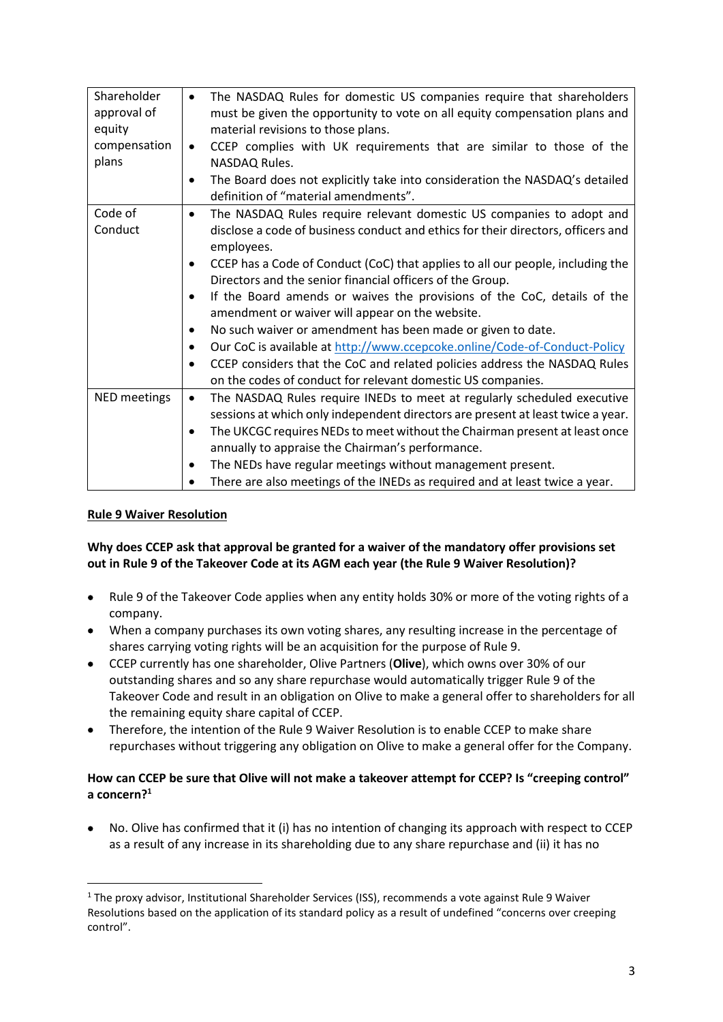| Shareholder<br>approval of<br>equity<br>compensation<br>plans | The NASDAQ Rules for domestic US companies require that shareholders<br>$\bullet$<br>must be given the opportunity to vote on all equity compensation plans and<br>material revisions to those plans.<br>CCEP complies with UK requirements that are similar to those of the<br>$\bullet$<br>NASDAQ Rules.<br>The Board does not explicitly take into consideration the NASDAQ's detailed<br>$\bullet$<br>definition of "material amendments".                                                                                                                                                                                                                                                                                       |
|---------------------------------------------------------------|--------------------------------------------------------------------------------------------------------------------------------------------------------------------------------------------------------------------------------------------------------------------------------------------------------------------------------------------------------------------------------------------------------------------------------------------------------------------------------------------------------------------------------------------------------------------------------------------------------------------------------------------------------------------------------------------------------------------------------------|
| Code of                                                       | The NASDAQ Rules require relevant domestic US companies to adopt and<br>$\bullet$                                                                                                                                                                                                                                                                                                                                                                                                                                                                                                                                                                                                                                                    |
| Conduct                                                       | disclose a code of business conduct and ethics for their directors, officers and<br>employees.<br>CCEP has a Code of Conduct (CoC) that applies to all our people, including the<br>$\bullet$<br>Directors and the senior financial officers of the Group.<br>If the Board amends or waives the provisions of the CoC, details of the<br>$\bullet$<br>amendment or waiver will appear on the website.<br>No such waiver or amendment has been made or given to date.<br>$\bullet$<br>Our CoC is available at http://www.ccepcoke.online/Code-of-Conduct-Policy<br>$\bullet$<br>CCEP considers that the CoC and related policies address the NASDAQ Rules<br>$\bullet$<br>on the codes of conduct for relevant domestic US companies. |
| NED meetings                                                  | The NASDAQ Rules require INEDs to meet at regularly scheduled executive<br>$\bullet$<br>sessions at which only independent directors are present at least twice a year.<br>The UKCGC requires NEDs to meet without the Chairman present at least once<br>٠<br>annually to appraise the Chairman's performance.<br>The NEDs have regular meetings without management present.<br>٠<br>There are also meetings of the INEDs as required and at least twice a year.                                                                                                                                                                                                                                                                     |

## **Rule 9 Waiver Resolution**

## **Why does CCEP ask that approval be granted for a waiver of the mandatory offer provisions set out in Rule 9 of the Takeover Code at its AGM each year (the Rule 9 Waiver Resolution)?**

- Rule 9 of the Takeover Code applies when any entity holds 30% or more of the voting rights of a company.
- When a company purchases its own voting shares, any resulting increase in the percentage of shares carrying voting rights will be an acquisition for the purpose of Rule 9.
- CCEP currently has one shareholder, Olive Partners (**Olive**), which owns over 30% of our outstanding shares and so any share repurchase would automatically trigger Rule 9 of the Takeover Code and result in an obligation on Olive to make a general offer to shareholders for all the remaining equity share capital of CCEP.
- Therefore, the intention of the Rule 9 Waiver Resolution is to enable CCEP to make share repurchases without triggering any obligation on Olive to make a general offer for the Company.

# **How can CCEP be sure that Olive will not make a takeover attempt for CCEP? Is "creeping control" a concern?<sup>1</sup>**

 No. Olive has confirmed that it (i) has no intention of changing its approach with respect to CCEP as a result of any increase in its shareholding due to any share repurchase and (ii) it has no

<sup>&</sup>lt;sup>1</sup> The proxy advisor, Institutional Shareholder Services (ISS), recommends a vote against Rule 9 Waiver Resolutions based on the application of its standard policy as a result of undefined "concerns over creeping control".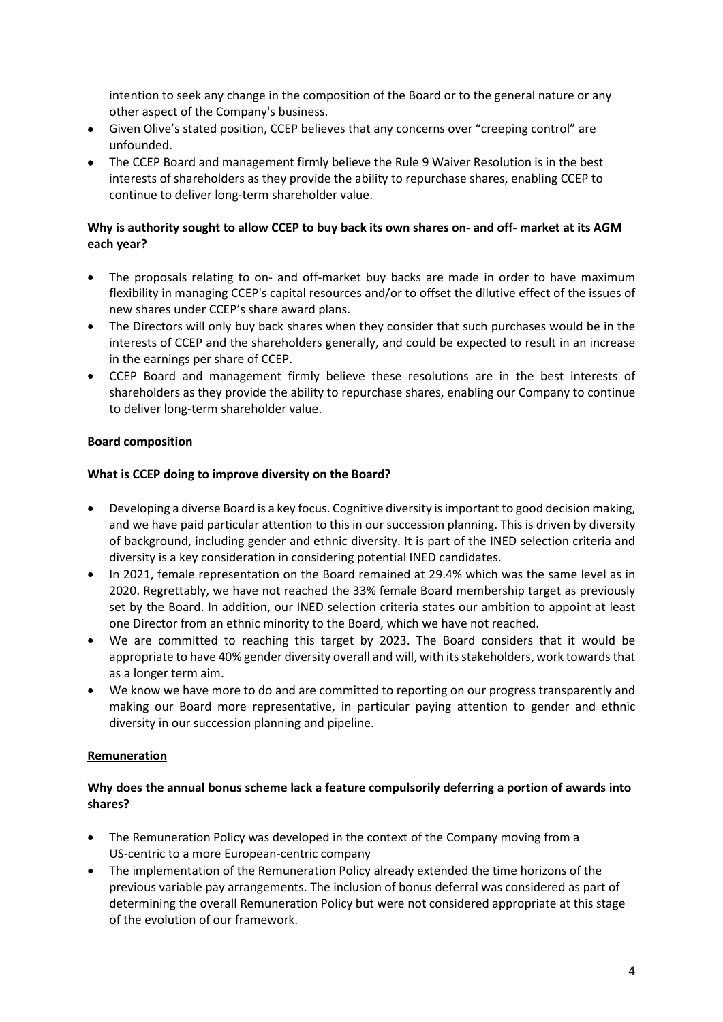intention to seek any change in the composition of the Board or to the general nature or any other aspect of the Company's business.

- Given Olive's stated position, CCEP believes that any concerns over "creeping control" are unfounded.
- The CCEP Board and management firmly believe the Rule 9 Waiver Resolution is in the best interests of shareholders as they provide the ability to repurchase shares, enabling CCEP to continue to deliver long-term shareholder value.

## **Why is authority sought to allow CCEP to buy back its own shares on- and off- market at its AGM each year?**

- The proposals relating to on- and off-market buy backs are made in order to have maximum flexibility in managing CCEP's capital resources and/or to offset the dilutive effect of the issues of new shares under CCEP's share award plans.
- The Directors will only buy back shares when they consider that such purchases would be in the interests of CCEP and the shareholders generally, and could be expected to result in an increase in the earnings per share of CCEP.
- CCEP Board and management firmly believe these resolutions are in the best interests of shareholders as they provide the ability to repurchase shares, enabling our Company to continue to deliver long-term shareholder value.

## **Board composition**

### **What is CCEP doing to improve diversity on the Board?**

- Developing a diverse Board is a key focus. Cognitive diversity is important to good decision making, and we have paid particular attention to this in our succession planning. This is driven by diversity of background, including gender and ethnic diversity. It is part of the INED selection criteria and diversity is a key consideration in considering potential INED candidates.
- In 2021, female representation on the Board remained at 29.4% which was the same level as in 2020. Regrettably, we have not reached the 33% female Board membership target as previously set by the Board. In addition, our INED selection criteria states our ambition to appoint at least one Director from an ethnic minority to the Board, which we have not reached.
- We are committed to reaching this target by 2023. The Board considers that it would be appropriate to have 40% gender diversity overall and will, with its stakeholders, work towards that as a longer term aim.
- We know we have more to do and are committed to reporting on our progress transparently and making our Board more representative, in particular paying attention to gender and ethnic diversity in our succession planning and pipeline.

### **Remuneration**

### **Why does the annual bonus scheme lack a feature compulsorily deferring a portion of awards into shares?**

- The Remuneration Policy was developed in the context of the Company moving from a US-centric to a more European-centric company
- The implementation of the Remuneration Policy already extended the time horizons of the previous variable pay arrangements. The inclusion of bonus deferral was considered as part of determining the overall Remuneration Policy but were not considered appropriate at this stage of the evolution of our framework.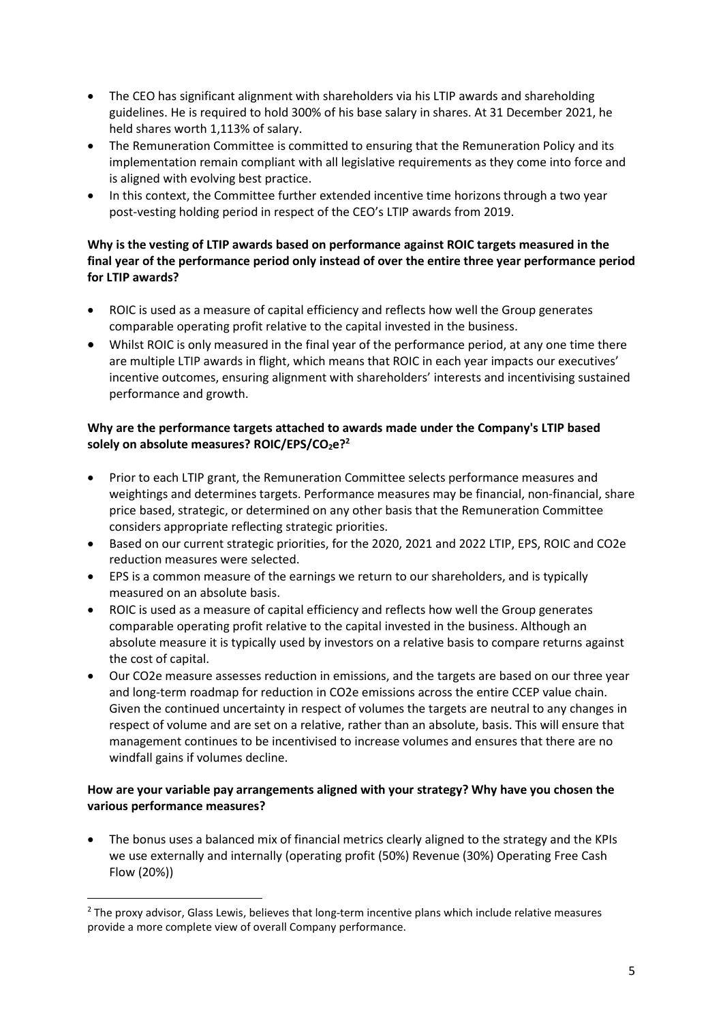- The CEO has significant alignment with shareholders via his LTIP awards and shareholding guidelines. He is required to hold 300% of his base salary in shares. At 31 December 2021, he held shares worth 1,113% of salary.
- The Remuneration Committee is committed to ensuring that the Remuneration Policy and its implementation remain compliant with all legislative requirements as they come into force and is aligned with evolving best practice.
- In this context, the Committee further extended incentive time horizons through a two year post-vesting holding period in respect of the CEO's LTIP awards from 2019.

## **Why is the vesting of LTIP awards based on performance against ROIC targets measured in the final year of the performance period only instead of over the entire three year performance period for LTIP awards?**

- ROIC is used as a measure of capital efficiency and reflects how well the Group generates comparable operating profit relative to the capital invested in the business.
- Whilst ROIC is only measured in the final year of the performance period, at any one time there are multiple LTIP awards in flight, which means that ROIC in each year impacts our executives' incentive outcomes, ensuring alignment with shareholders' interests and incentivising sustained performance and growth.

## **Why are the performance targets attached to awards made under the Company's LTIP based solely on absolute measures? ROIC/EPS/CO2e?<sup>2</sup>**

- Prior to each LTIP grant, the Remuneration Committee selects performance measures and weightings and determines targets. Performance measures may be financial, non-financial, share price based, strategic, or determined on any other basis that the Remuneration Committee considers appropriate reflecting strategic priorities.
- Based on our current strategic priorities, for the 2020, 2021 and 2022 LTIP, EPS, ROIC and CO2e reduction measures were selected.
- EPS is a common measure of the earnings we return to our shareholders, and is typically measured on an absolute basis.
- ROIC is used as a measure of capital efficiency and reflects how well the Group generates comparable operating profit relative to the capital invested in the business. Although an absolute measure it is typically used by investors on a relative basis to compare returns against the cost of capital.
- Our CO2e measure assesses reduction in emissions, and the targets are based on our three year and long-term roadmap for reduction in CO2e emissions across the entire CCEP value chain. Given the continued uncertainty in respect of volumes the targets are neutral to any changes in respect of volume and are set on a relative, rather than an absolute, basis. This will ensure that management continues to be incentivised to increase volumes and ensures that there are no windfall gains if volumes decline.

## **How are your variable pay arrangements aligned with your strategy? Why have you chosen the various performance measures?**

 The bonus uses a balanced mix of financial metrics clearly aligned to the strategy and the KPIs we use externally and internally (operating profit (50%) Revenue (30%) Operating Free Cash Flow (20%))

<sup>&</sup>lt;sup>2</sup> The proxy advisor, Glass Lewis, believes that long-term incentive plans which include relative measures provide a more complete view of overall Company performance.